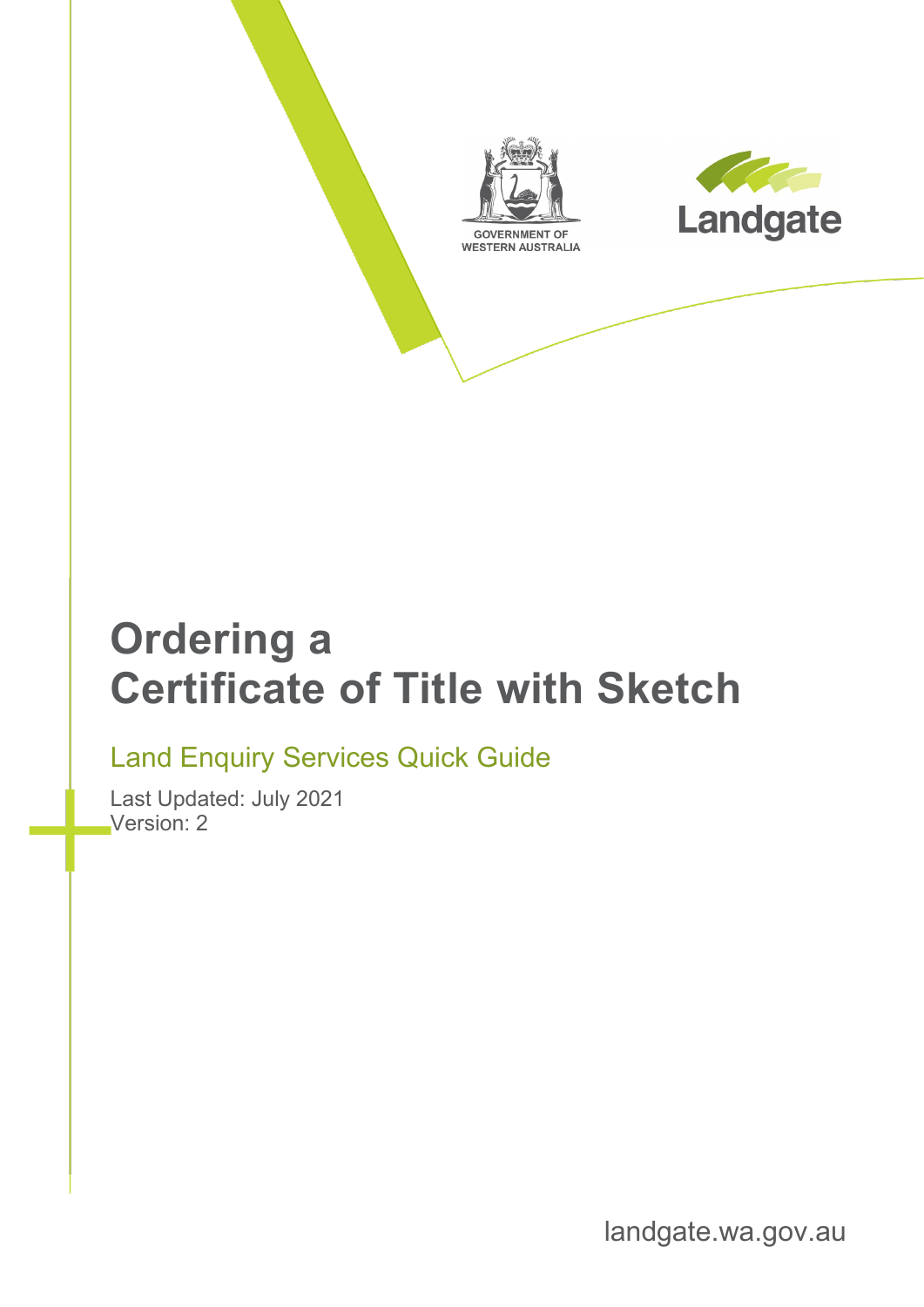



# **Ordering a Certificate of Title with Sketch**

#### Land Enquiry Services Quick Guide

Last Updated: July 2021 Version: 2

landgate.wa.gov.au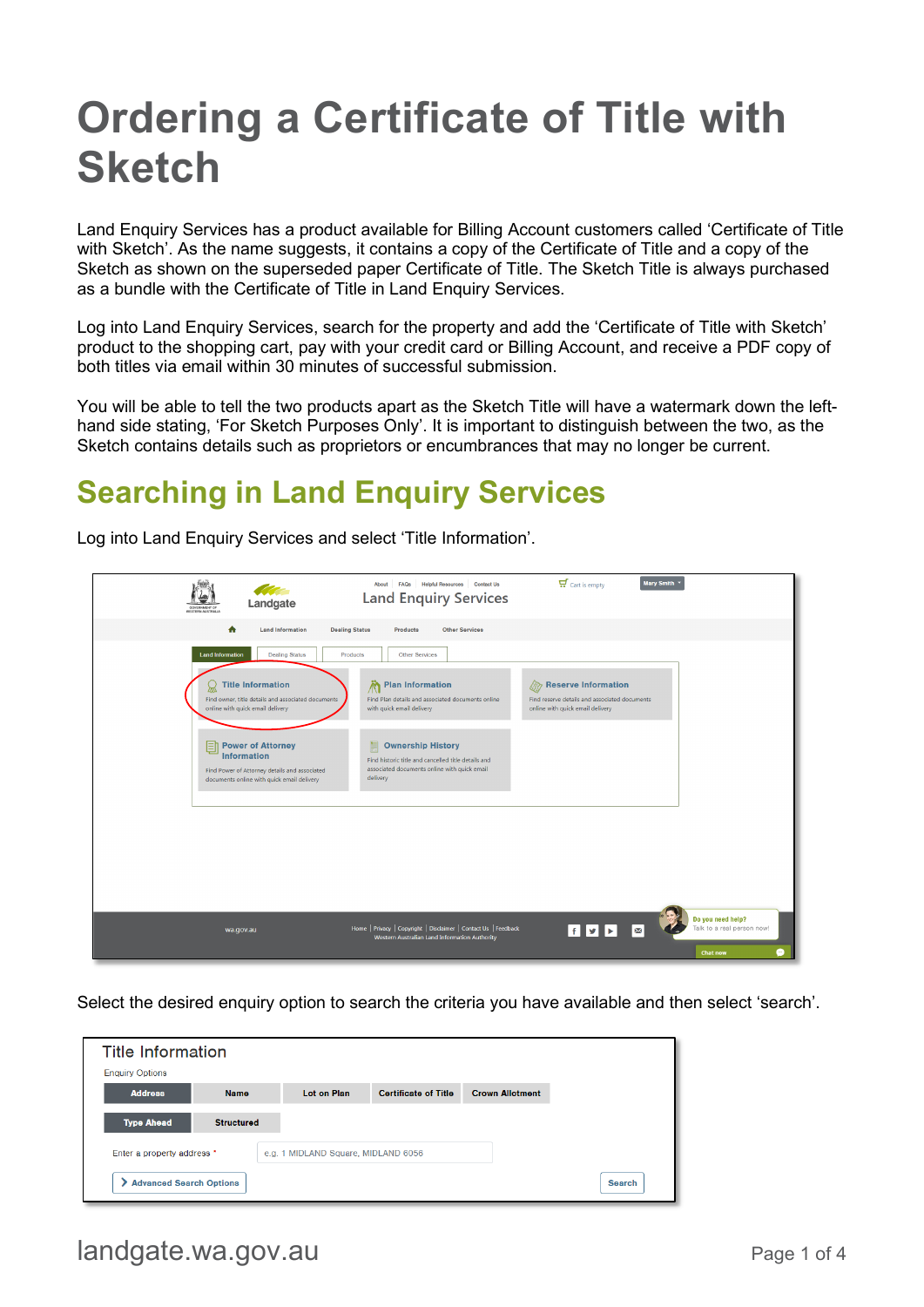# **Ordering a Certificate of Title with Sketch**

Land Enquiry Services has a product available for Billing Account customers called 'Certificate of Title with Sketch'. As the name suggests, it contains a copy of the Certificate of Title and a copy of the Sketch as shown on the superseded paper Certificate of Title. The Sketch Title is always purchased as a bundle with the Certificate of Title in Land Enquiry Services.

Log into Land Enquiry Services, search for the property and add the 'Certificate of Title with Sketch' product to the shopping cart, pay with your credit card or Billing Account, and receive a PDF copy of both titles via email within 30 minutes of successful submission.

You will be able to tell the two products apart as the Sketch Title will have a watermark down the lefthand side stating, 'For Sketch Purposes Only'. It is important to distinguish between the two, as the Sketch contains details such as proprietors or encumbrances that may no longer be current.

## **Searching in Land Enquiry Services**

Log into Land Enquiry Services and select 'Title Information'.



Select the desired enquiry option to search the criteria you have available and then select 'search'.

| <b>Title Information</b>       |                   |                                     |                             |                        |        |
|--------------------------------|-------------------|-------------------------------------|-----------------------------|------------------------|--------|
| <b>Enquiry Options</b>         |                   |                                     |                             |                        |        |
| <b>Address</b>                 | <b>Namo</b>       | <b>Lot on Plan</b>                  | <b>Certificate of Title</b> | <b>Crown Allotment</b> |        |
| <b>Type Ahead</b>              | <b>Structured</b> |                                     |                             |                        |        |
| Enter a property address *     |                   | e.g. 1 MIDLAND Square, MIDLAND 6056 |                             |                        |        |
| <b>Advanced Search Options</b> |                   |                                     |                             |                        | Search |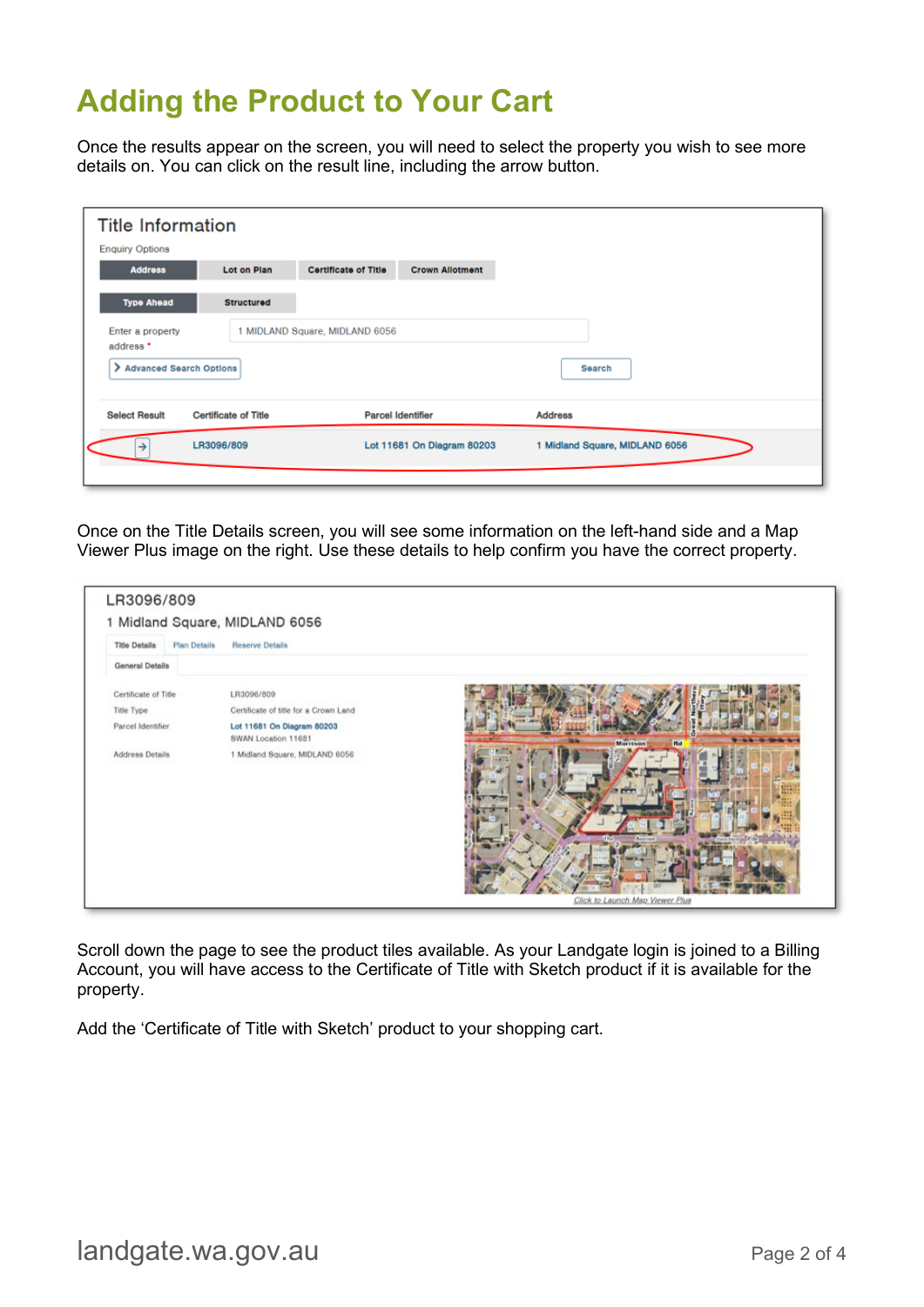### **Adding the Product to Your Cart**

Once the results appear on the screen, you will need to select the property you wish to see more details on. You can click on the result line, including the arrow button.

| <b>Title Information</b><br><b>Enquiry Options</b> |                             |                                |                            |                                |
|----------------------------------------------------|-----------------------------|--------------------------------|----------------------------|--------------------------------|
| <b>Address</b>                                     | Lot on Plan                 | <b>Certificate of Title</b>    | <b>Crown Allotment</b>     |                                |
| <b>Type Ahead</b>                                  | <b>Structured</b>           |                                |                            |                                |
| Enter a property<br>address *                      |                             | 1 MIDLAND Square, MIDLAND 6056 |                            |                                |
| Advanced Search Options                            |                             |                                |                            | Search                         |
| <b>Select Result</b>                               | <b>Certificate of Title</b> |                                | <b>Parcel Identifier</b>   | <b>Address</b>                 |
| →                                                  | LR3096/809                  |                                | Lot 11681 On Diagram 80203 | 1 Midland Square, MIDLAND 6056 |
|                                                    |                             |                                |                            |                                |

Once on the Title Details screen, you will see some information on the left-hand side and a Map Viewer Plus image on the right. Use these details to help confirm you have the correct property.

| <b>Title Details</b><br><b>Plan Details</b> | <b>Reserve Details</b>                            |                       |
|---------------------------------------------|---------------------------------------------------|-----------------------|
| <b>General Details</b>                      |                                                   |                       |
| Certificate of Title                        | LR3096/809                                        |                       |
| Title Type                                  | Certificate of title for a Crown Land             |                       |
| Parcel Identifier                           | Lot 11681 On Diagram 80203<br>SWAN Location 11681 | <b>Morrison</b><br>Rd |
| Address Details                             | 1 Midland Square, MIDLAND 6056                    |                       |

Scroll down the page to see the product tiles available. As your Landgate login is joined to a Billing Account, you will have access to the Certificate of Title with Sketch product if it is available for the property.

Add the 'Certificate of Title with Sketch' product to your shopping cart.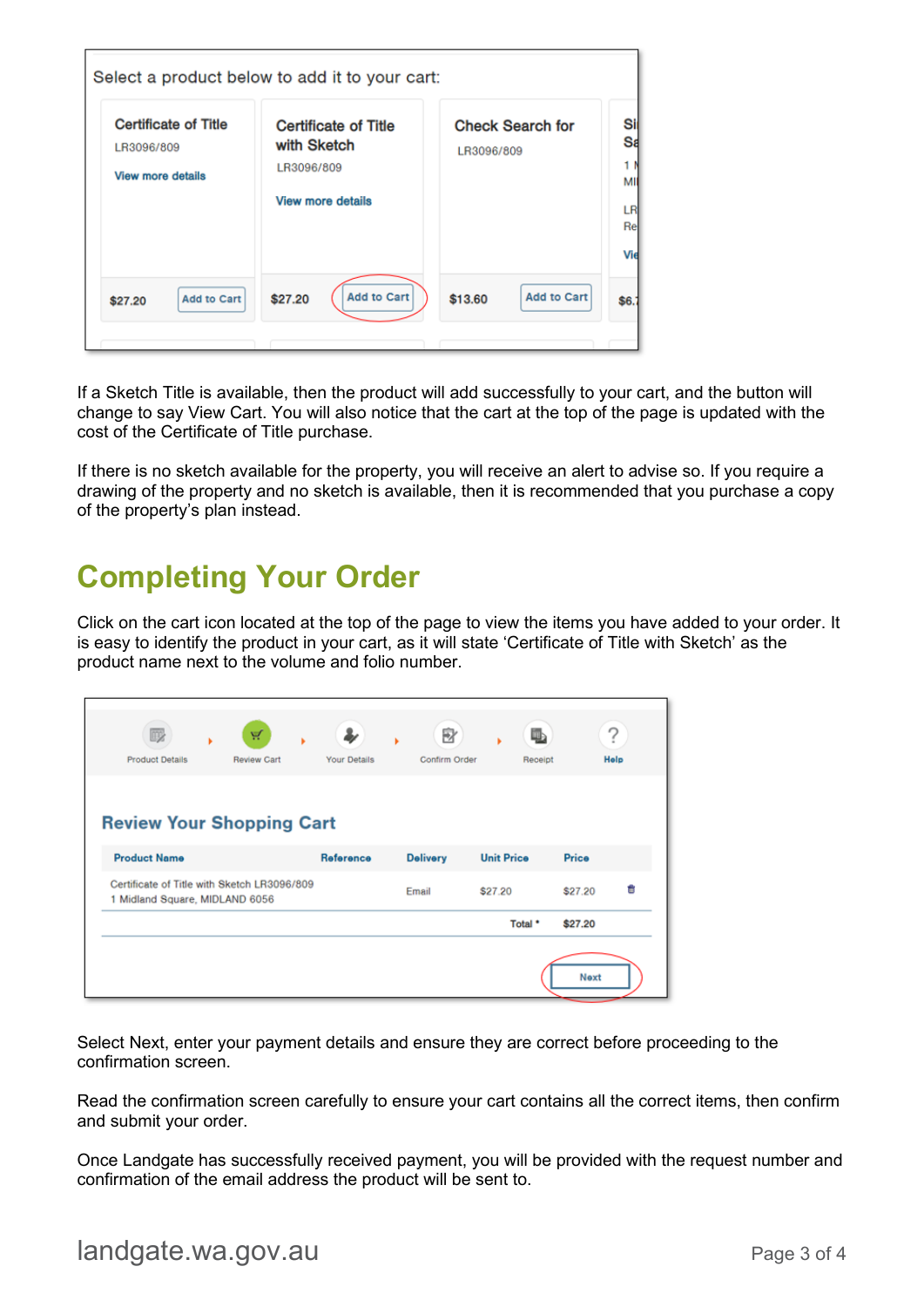| <b>Certificate of Title</b><br>LR3096/809<br><b>View more details</b> | <b>Certificate of Title</b><br>with Sketch<br>LR3096/809<br><b>View more details</b> | <b>Check Search for</b><br>LR3096/809 |  |
|-----------------------------------------------------------------------|--------------------------------------------------------------------------------------|---------------------------------------|--|
|                                                                       |                                                                                      |                                       |  |

If a Sketch Title is available, then the product will add successfully to your cart, and the button will change to say View Cart. You will also notice that the cart at the top of the page is updated with the cost of the Certificate of Title purchase.

If there is no sketch available for the property, you will receive an alert to advise so. If you require a drawing of the property and no sketch is available, then it is recommended that you purchase a copy of the property's plan instead.

### **Completing Your Order**

Click on the cart icon located at the top of the page to view the items you have added to your order. It is easy to identify the product in your cart, as it will state 'Certificate of Title with Sketch' as the product name next to the volume and folio number.

| FEB<br><b>Product Details</b>                                                 | A<br><b>Review Cart</b> | Your Details | B<br>Confirm Order | li,<br>Receipt    | 7<br>Help    |
|-------------------------------------------------------------------------------|-------------------------|--------------|--------------------|-------------------|--------------|
| <b>Review Your Shopping Cart</b>                                              |                         |              |                    |                   |              |
|                                                                               |                         |              |                    |                   |              |
| <b>Product Name</b>                                                           |                         | Reference    | <b>Delivery</b>    | <b>Unit Price</b> | Price        |
| Certificate of Title with Sketch LR3096/809<br>1 Midland Square, MIDLAND 6056 |                         |              | Email              | \$27.20           | Ħ<br>\$27.20 |

Select Next, enter your payment details and ensure they are correct before proceeding to the confirmation screen.

Read the confirmation screen carefully to ensure your cart contains all the correct items, then confirm and submit your order.

Once Landgate has successfully received payment, you will be provided with the request number and confirmation of the email address the product will be sent to.